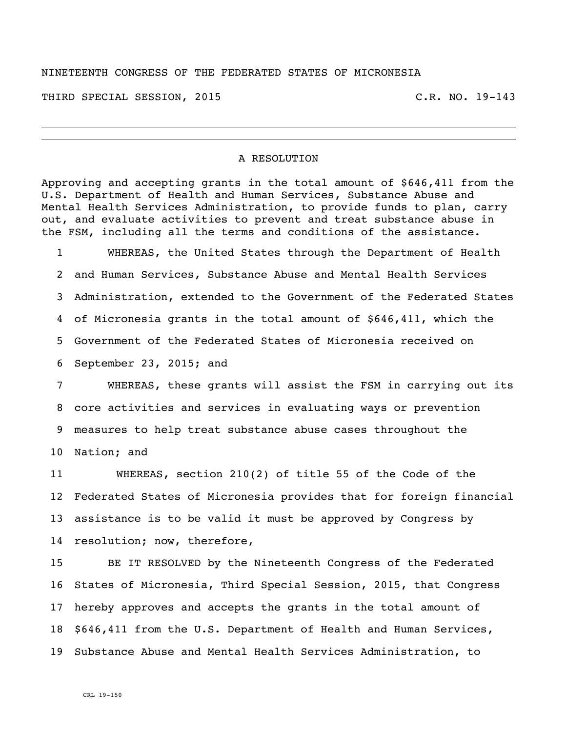## NINETEENTH CONGRESS OF THE FEDERATED STATES OF MICRONESIA

THIRD SPECIAL SESSION, 2015 C.R. NO. 19-143

## A RESOLUTION

Approving and accepting grants in the total amount of \$646,411 from the U.S. Department of Health and Human Services, Substance Abuse and Mental Health Services Administration, to provide funds to plan, carry out, and evaluate activities to prevent and treat substance abuse in the FSM, including all the terms and conditions of the assistance.

 WHEREAS, the United States through the Department of Health and Human Services, Substance Abuse and Mental Health Services Administration, extended to the Government of the Federated States of Micronesia grants in the total amount of \$646,411, which the Government of the Federated States of Micronesia received on September 23, 2015; and

 WHEREAS, these grants will assist the FSM in carrying out its core activities and services in evaluating ways or prevention measures to help treat substance abuse cases throughout the Nation; and

 WHEREAS, section 210(2) of title 55 of the Code of the Federated States of Micronesia provides that for foreign financial assistance is to be valid it must be approved by Congress by resolution; now, therefore,

 BE IT RESOLVED by the Nineteenth Congress of the Federated States of Micronesia, Third Special Session, 2015, that Congress hereby approves and accepts the grants in the total amount of \$646,411 from the U.S. Department of Health and Human Services, Substance Abuse and Mental Health Services Administration, to